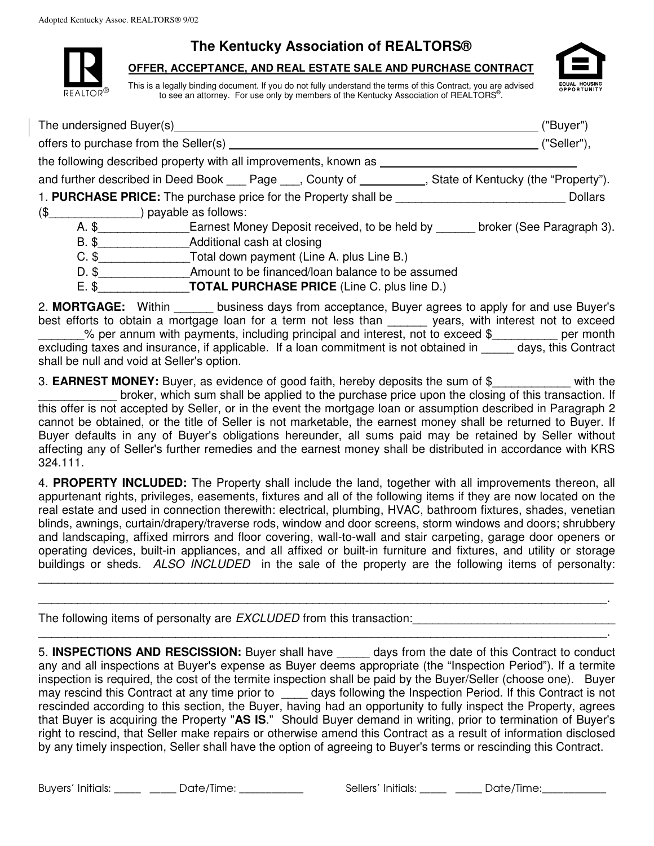**The Kentucky Association of REALTORS®**

## **OFFER, ACCEPTANCE, AND REAL ESTATE SALE AND PURCHASE CONTRACT**

This is a legally binding document. If you do not fully understand the terms of this Contract, you are advised REALTOR $^{\circ}$  to see an attorney. For use only by members of the Kentucky Association of REALTORS<sup>®</sup>.



D. \$\_\_\_\_\_\_\_\_\_\_\_\_\_\_\_\_\_\_\_\_\_Amount to be financed/loan balance to be assumed

E. \$\_\_\_\_\_\_\_\_\_\_\_\_\_\_**TOTAL PURCHASE PRICE** (Line C. plus line D.)

2. **MORTGAGE:** Within business days from acceptance, Buyer agrees to apply for and use Buyer's best efforts to obtain a mortgage loan for a term not less than \_\_\_\_\_\_ years, with interest not to exceed \_\_\_\_\_\_\_% per annum with payments, including principal and interest, not to exceed \$\_\_\_\_\_\_\_\_\_\_ per month excluding taxes and insurance, if applicable. If a loan commitment is not obtained in days, this Contract shall be null and void at Seller's option.

3. **EARNEST MONEY:** Buyer, as evidence of good faith, hereby deposits the sum of \$\_\_\_\_\_\_\_\_\_\_\_\_ with the broker, which sum shall be applied to the purchase price upon the closing of this transaction. If this offer is not accepted by Seller, or in the event the mortgage loan or assumption described in Paragraph 2 cannot be obtained, or the title of Seller is not marketable, the earnest money shall be returned to Buyer. If Buyer defaults in any of Buyer's obligations hereunder, all sums paid may be retained by Seller without affecting any of Seller's further remedies and the earnest money shall be distributed in accordance with KRS 324.111.

4. **PROPERTY INCLUDED:** The Property shall include the land, together with all improvements thereon, all appurtenant rights, privileges, easements, fixtures and all of the following items if they are now located on the real estate and used in connection therewith: electrical, plumbing, HVAC, bathroom fixtures, shades, venetian blinds, awnings, curtain/drapery/traverse rods, window and door screens, storm windows and doors; shrubbery and landscaping, affixed mirrors and floor covering, wall-to-wall and stair carpeting, garage door openers or operating devices, built-in appliances, and all affixed or built-in furniture and fixtures, and utility or storage buildings or sheds. ALSO INCLUDED in the sale of the property are the following items of personalty:

\_\_\_\_\_\_\_\_\_\_\_\_\_\_\_\_\_\_\_\_\_\_\_\_\_\_\_\_\_\_\_\_\_\_\_\_\_\_\_\_\_\_\_\_\_\_\_\_\_\_\_\_\_\_\_\_\_\_\_\_\_\_\_\_\_\_\_\_\_\_\_\_\_\_\_\_\_\_\_\_\_\_\_\_\_\_\_\_ \_\_\_\_\_\_\_\_\_\_\_\_\_\_\_\_\_\_\_\_\_\_\_\_\_\_\_\_\_\_\_\_\_\_\_\_\_\_\_\_\_\_\_\_\_\_\_\_\_\_\_\_\_\_\_\_\_\_\_\_\_\_\_\_\_\_\_\_\_\_\_\_\_\_\_\_\_\_\_\_\_\_\_\_\_\_\_.

\_\_\_\_\_\_\_\_\_\_\_\_\_\_\_\_\_\_\_\_\_\_\_\_\_\_\_\_\_\_\_\_\_\_\_\_\_\_\_\_\_\_\_\_\_\_\_\_\_\_\_\_\_\_\_\_\_\_\_\_\_\_\_\_\_\_\_\_\_\_\_\_\_\_\_\_\_\_\_\_\_\_\_\_\_\_\_.

The following items of personalty are *EXCLUDED* from this transaction:

5. **INSPECTIONS AND RESCISSION:** Buyer shall have \_\_\_\_\_ days from the date of this Contract to conduct any and all inspections at Buyer's expense as Buyer deems appropriate (the "Inspection Period"). If a termite inspection is required, the cost of the termite inspection shall be paid by the Buyer/Seller (choose one). Buyer may rescind this Contract at any time prior to \_\_\_\_ days following the Inspection Period. If this Contract is not rescinded according to this section, the Buyer, having had an opportunity to fully inspect the Property, agrees that Buyer is acquiring the Property "**AS IS**." Should Buyer demand in writing, prior to termination of Buyer's right to rescind, that Seller make repairs or otherwise amend this Contract as a result of information disclosed by any timely inspection, Seller shall have the option of agreeing to Buyer's terms or rescinding this Contract.

Buyers' Initials: \_\_\_\_\_ \_\_\_\_\_ Date/Time: \_\_\_\_\_\_\_\_\_\_\_ Sellers' Initials: \_\_\_\_\_ \_\_\_\_ Date/Time: \_\_\_\_\_\_\_\_\_\_\_

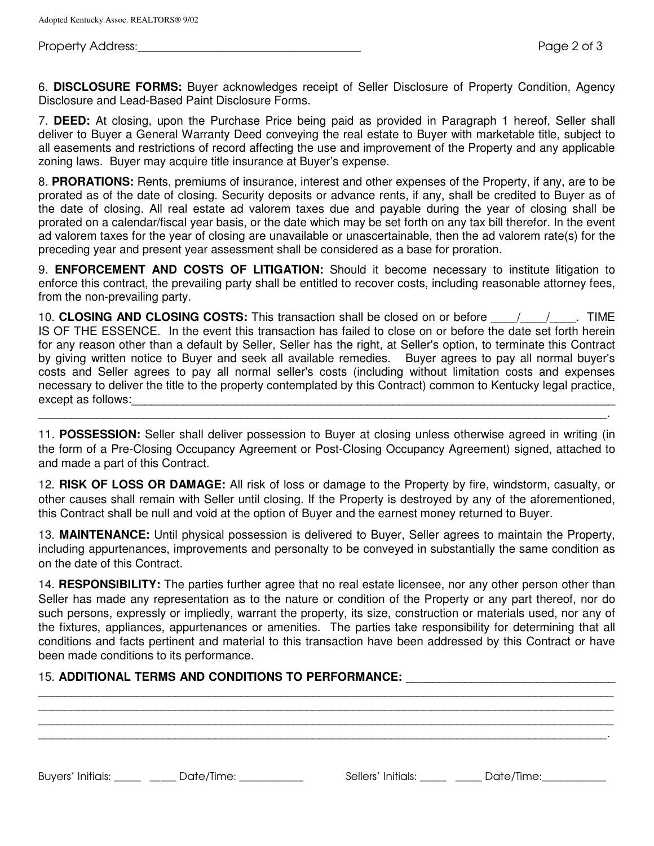Property Address: The Property Address: The Property Address: The Property Address: The Property Address: The P

6. **DISCLOSURE FORMS:** Buyer acknowledges receipt of Seller Disclosure of Property Condition, Agency Disclosure and Lead-Based Paint Disclosure Forms.

7. **DEED:** At closing, upon the Purchase Price being paid as provided in Paragraph 1 hereof, Seller shall deliver to Buyer a General Warranty Deed conveying the real estate to Buyer with marketable title, subject to all easements and restrictions of record affecting the use and improvement of the Property and any applicable zoning laws. Buyer may acquire title insurance at Buyer's expense.

8. **PRORATIONS:** Rents, premiums of insurance, interest and other expenses of the Property, if any, are to be prorated as of the date of closing. Security deposits or advance rents, if any, shall be credited to Buyer as of the date of closing. All real estate ad valorem taxes due and payable during the year of closing shall be prorated on a calendar/fiscal year basis, or the date which may be set forth on any tax bill therefor. In the event ad valorem taxes for the year of closing are unavailable or unascertainable, then the ad valorem rate(s) for the preceding year and present year assessment shall be considered as a base for proration.

9. **ENFORCEMENT AND COSTS OF LITIGATION:** Should it become necessary to institute litigation to enforce this contract, the prevailing party shall be entitled to recover costs, including reasonable attorney fees, from the non-prevailing party.

10. **CLOSING AND CLOSING COSTS:** This transaction shall be closed on or before \_\_\_\_/\_\_\_\_/\_\_\_\_. TIME IS OF THE ESSENCE. In the event this transaction has failed to close on or before the date set forth herein for any reason other than a default by Seller, Seller has the right, at Seller's option, to terminate this Contract by giving written notice to Buyer and seek all available remedies. Buyer agrees to pay all normal buyer's costs and Seller agrees to pay all normal seller's costs (including without limitation costs and expenses necessary to deliver the title to the property contemplated by this Contract) common to Kentucky legal practice, except as follows:

11. **POSSESSION:** Seller shall deliver possession to Buyer at closing unless otherwise agreed in writing (in the form of a Pre-Closing Occupancy Agreement or Post-Closing Occupancy Agreement) signed, attached to and made a part of this Contract.

\_\_\_\_\_\_\_\_\_\_\_\_\_\_\_\_\_\_\_\_\_\_\_\_\_\_\_\_\_\_\_\_\_\_\_\_\_\_\_\_\_\_\_\_\_\_\_\_\_\_\_\_\_\_\_\_\_\_\_\_\_\_\_\_\_\_\_\_\_\_\_\_\_\_\_\_\_\_\_\_\_\_\_\_\_\_\_.

12. **RISK OF LOSS OR DAMAGE:** All risk of loss or damage to the Property by fire, windstorm, casualty, or other causes shall remain with Seller until closing. If the Property is destroyed by any of the aforementioned, this Contract shall be null and void at the option of Buyer and the earnest money returned to Buyer.

13. **MAINTENANCE:** Until physical possession is delivered to Buyer, Seller agrees to maintain the Property, including appurtenances, improvements and personalty to be conveyed in substantially the same condition as on the date of this Contract.

14. **RESPONSIBILITY:** The parties further agree that no real estate licensee, nor any other person other than Seller has made any representation as to the nature or condition of the Property or any part thereof, nor do such persons, expressly or impliedly, warrant the property, its size, construction or materials used, nor any of the fixtures, appliances, appurtenances or amenities. The parties take responsibility for determining that all conditions and facts pertinent and material to this transaction have been addressed by this Contract or have been made conditions to its performance.

\_\_\_\_\_\_\_\_\_\_\_\_\_\_\_\_\_\_\_\_\_\_\_\_\_\_\_\_\_\_\_\_\_\_\_\_\_\_\_\_\_\_\_\_\_\_\_\_\_\_\_\_\_\_\_\_\_\_\_\_\_\_\_\_\_\_\_\_\_\_\_\_\_\_\_\_\_\_\_\_\_\_\_\_\_\_\_\_ \_\_\_\_\_\_\_\_\_\_\_\_\_\_\_\_\_\_\_\_\_\_\_\_\_\_\_\_\_\_\_\_\_\_\_\_\_\_\_\_\_\_\_\_\_\_\_\_\_\_\_\_\_\_\_\_\_\_\_\_\_\_\_\_\_\_\_\_\_\_\_\_\_\_\_\_\_\_\_\_\_\_\_\_\_\_\_\_ \_\_\_\_\_\_\_\_\_\_\_\_\_\_\_\_\_\_\_\_\_\_\_\_\_\_\_\_\_\_\_\_\_\_\_\_\_\_\_\_\_\_\_\_\_\_\_\_\_\_\_\_\_\_\_\_\_\_\_\_\_\_\_\_\_\_\_\_\_\_\_\_\_\_\_\_\_\_\_\_\_\_\_\_\_\_\_\_ \_\_\_\_\_\_\_\_\_\_\_\_\_\_\_\_\_\_\_\_\_\_\_\_\_\_\_\_\_\_\_\_\_\_\_\_\_\_\_\_\_\_\_\_\_\_\_\_\_\_\_\_\_\_\_\_\_\_\_\_\_\_\_\_\_\_\_\_\_\_\_\_\_\_\_\_\_\_\_\_\_\_\_\_\_\_\_.

## 15. ADDITIONAL TERMS AND CONDITIONS TO PERFORMANCE:

Buyers' Initials: \_\_\_\_\_ \_\_\_\_\_ Date/Time: \_\_\_\_\_\_\_\_\_\_\_\_ Sellers' Initials: \_\_\_\_\_ \_\_\_\_ Date/Time: \_\_\_\_\_\_\_\_\_\_\_\_\_\_